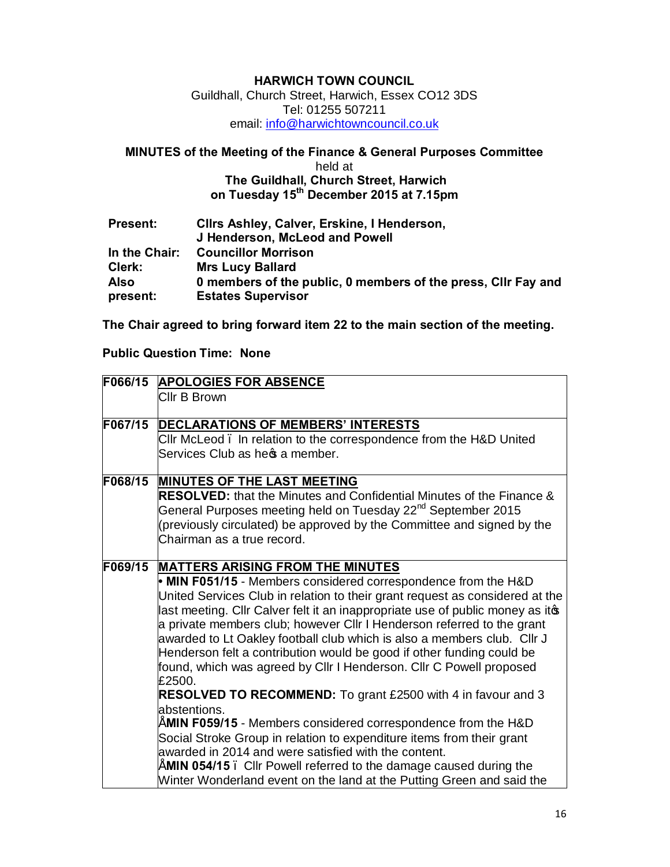### **HARWICH TOWN COUNCIL**

Guildhall, Church Street, Harwich, Essex CO12 3DS Tel: 01255 507211 em[ail: info@harwichtowncouncil.co.uk](mailto:info@harwichtowncouncil.co.uk)

# **MINUTES of the Meeting of the Finance & General Purposes Committee**

#### held at  **The Guildhall, Church Street, Harwich on Tuesday 15th December 2015 at 7.15pm**

| <b>Present:</b> | Clirs Ashley, Calver, Erskine, I Henderson,<br>J Henderson, McLeod and Powell |
|-----------------|-------------------------------------------------------------------------------|
| In the Chair:   | <b>Councillor Morrison</b>                                                    |
| Clerk:          | <b>Mrs Lucy Ballard</b>                                                       |
| <b>Also</b>     | 0 members of the public, 0 members of the press, Clir Fay and                 |
| present:        | <b>Estates Supervisor</b>                                                     |

**The Chair agreed to bring forward item 22 to the main section of the meeting.**

#### **Public Question Time: None**

|         | F066/15 APOLOGIES FOR ABSENCE                                                 |
|---------|-------------------------------------------------------------------------------|
|         | Cllr B Brown                                                                  |
|         |                                                                               |
| F067/15 | <b>DECLARATIONS OF MEMBERS' INTERESTS</b>                                     |
|         | CIIr McLeod. In relation to the correspondence from the H&D United            |
|         | Services Club as hec a member.                                                |
| F068/15 | <b>MINUTES OF THE LAST MEETING</b>                                            |
|         | <b>RESOLVED:</b> that the Minutes and Confidential Minutes of the Finance &   |
|         | General Purposes meeting held on Tuesday 22 <sup>nd</sup> September 2015      |
|         | (previously circulated) be approved by the Committee and signed by the        |
|         | Chairman as a true record.                                                    |
| F069/15 | <b>MATTERS ARISING FROM THE MINUTES</b>                                       |
|         | • MIN F051/15 - Members considered correspondence from the H&D                |
|         | United Services Club in relation to their grant request as considered at the  |
|         | last meeting. Cllr Calver felt it an inappropriate use of public money as ito |
|         | a private members club; however Cllr I Henderson referred to the grant        |
|         | awarded to Lt Oakley football club which is also a members club. Cllr J       |
|         | Henderson felt a contribution would be good if other funding could be         |
|         | found, which was agreed by Cllr I Henderson. Cllr C Powell proposed           |
|         | £2500.                                                                        |
|         | RESOLVED TO RECOMMEND: To grant £2500 with 4 in favour and 3                  |
|         | abstentions.                                                                  |
|         | MIN F059/15 - Members considered correspondence from the H&D                  |
|         | Social Stroke Group in relation to expenditure items from their grant         |
|         | awarded in 2014 and were satisfied with the content.                          |
|         | MIN 054/15. Cllr Powell referred to the damage caused during the              |
|         | Winter Wonderland event on the land at the Putting Green and said the         |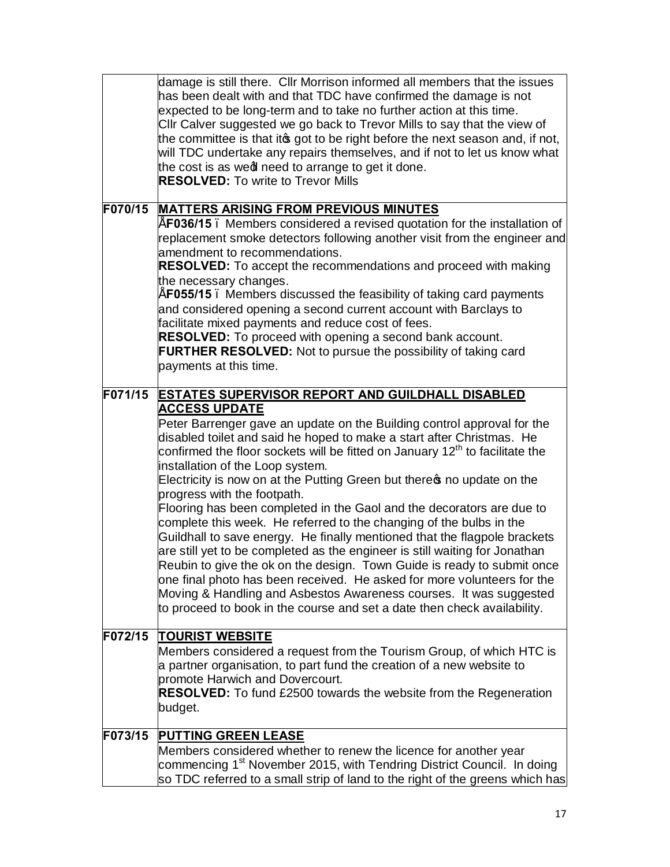|         | damage is still there. Cllr Morrison informed all members that the issues<br>has been dealt with and that TDC have confirmed the damage is not<br>expected to be long-term and to take no further action at this time.<br>CIIr Calver suggested we go back to Trevor Mills to say that the view of<br>the committee is that it og got to be right before the next season and, if not,<br>will TDC undertake any repairs themselves, and if not to let us know what<br>the cost is as wedl need to arrange to get it done.<br><b>RESOLVED:</b> To write to Trevor Mills |
|---------|------------------------------------------------------------------------------------------------------------------------------------------------------------------------------------------------------------------------------------------------------------------------------------------------------------------------------------------------------------------------------------------------------------------------------------------------------------------------------------------------------------------------------------------------------------------------|
| F070/15 | <b>MATTERS ARISING FROM PREVIOUS MINUTES</b>                                                                                                                                                                                                                                                                                                                                                                                                                                                                                                                           |
|         | "F036/15. Members considered a revised quotation for the installation of                                                                                                                                                                                                                                                                                                                                                                                                                                                                                               |
|         | replacement smoke detectors following another visit from the engineer and                                                                                                                                                                                                                                                                                                                                                                                                                                                                                              |
|         | amendment to recommendations.                                                                                                                                                                                                                                                                                                                                                                                                                                                                                                                                          |
|         | <b>RESOLVED:</b> To accept the recommendations and proceed with making                                                                                                                                                                                                                                                                                                                                                                                                                                                                                                 |
|         | the necessary changes.<br>F055/15. Members discussed the feasibility of taking card payments                                                                                                                                                                                                                                                                                                                                                                                                                                                                           |
|         | and considered opening a second current account with Barclays to                                                                                                                                                                                                                                                                                                                                                                                                                                                                                                       |
|         | facilitate mixed payments and reduce cost of fees.                                                                                                                                                                                                                                                                                                                                                                                                                                                                                                                     |
|         | RESOLVED: To proceed with opening a second bank account.                                                                                                                                                                                                                                                                                                                                                                                                                                                                                                               |
|         | <b>FURTHER RESOLVED:</b> Not to pursue the possibility of taking card                                                                                                                                                                                                                                                                                                                                                                                                                                                                                                  |
|         | payments at this time.                                                                                                                                                                                                                                                                                                                                                                                                                                                                                                                                                 |
| F071/15 | <b>ESTATES SUPERVISOR REPORT AND GUILDHALL DISABLED</b>                                                                                                                                                                                                                                                                                                                                                                                                                                                                                                                |
|         | <b>ACCESS UPDATE</b>                                                                                                                                                                                                                                                                                                                                                                                                                                                                                                                                                   |
|         | Peter Barrenger gave an update on the Building control approval for the                                                                                                                                                                                                                                                                                                                                                                                                                                                                                                |
|         | disabled toilet and said he hoped to make a start after Christmas. He                                                                                                                                                                                                                                                                                                                                                                                                                                                                                                  |
|         | confirmed the floor sockets will be fitted on January 12 <sup>th</sup> to facilitate the                                                                                                                                                                                                                                                                                                                                                                                                                                                                               |
|         | installation of the Loop system.                                                                                                                                                                                                                                                                                                                                                                                                                                                                                                                                       |
|         | Electricity is now on at the Putting Green but there no update on the                                                                                                                                                                                                                                                                                                                                                                                                                                                                                                  |
|         | progress with the footpath.<br>Flooring has been completed in the Gaol and the decorators are due to                                                                                                                                                                                                                                                                                                                                                                                                                                                                   |
|         | complete this week. He referred to the changing of the bulbs in the                                                                                                                                                                                                                                                                                                                                                                                                                                                                                                    |
|         | Guildhall to save energy. He finally mentioned that the flagpole brackets                                                                                                                                                                                                                                                                                                                                                                                                                                                                                              |
|         | are still yet to be completed as the engineer is still waiting for Jonathan                                                                                                                                                                                                                                                                                                                                                                                                                                                                                            |
|         | Reubin to give the ok on the design. Town Guide is ready to submit once                                                                                                                                                                                                                                                                                                                                                                                                                                                                                                |
|         | one final photo has been received. He asked for more volunteers for the                                                                                                                                                                                                                                                                                                                                                                                                                                                                                                |
|         | Moving & Handling and Asbestos Awareness courses. It was suggested                                                                                                                                                                                                                                                                                                                                                                                                                                                                                                     |
|         | to proceed to book in the course and set a date then check availability.                                                                                                                                                                                                                                                                                                                                                                                                                                                                                               |
| F072/15 | <b>TOURIST WEBSITE</b>                                                                                                                                                                                                                                                                                                                                                                                                                                                                                                                                                 |
|         | Members considered a request from the Tourism Group, of which HTC is                                                                                                                                                                                                                                                                                                                                                                                                                                                                                                   |
|         | a partner organisation, to part fund the creation of a new website to                                                                                                                                                                                                                                                                                                                                                                                                                                                                                                  |
|         | promote Harwich and Dovercourt.                                                                                                                                                                                                                                                                                                                                                                                                                                                                                                                                        |
|         | <b>RESOLVED:</b> To fund £2500 towards the website from the Regeneration                                                                                                                                                                                                                                                                                                                                                                                                                                                                                               |
|         | budget.                                                                                                                                                                                                                                                                                                                                                                                                                                                                                                                                                                |
| F073/15 | <b>PUTTING GREEN LEASE</b>                                                                                                                                                                                                                                                                                                                                                                                                                                                                                                                                             |
|         | Members considered whether to renew the licence for another year                                                                                                                                                                                                                                                                                                                                                                                                                                                                                                       |
|         | commencing 1 <sup>st</sup> November 2015, with Tendring District Council. In doing                                                                                                                                                                                                                                                                                                                                                                                                                                                                                     |
|         | so TDC referred to a small strip of land to the right of the greens which has                                                                                                                                                                                                                                                                                                                                                                                                                                                                                          |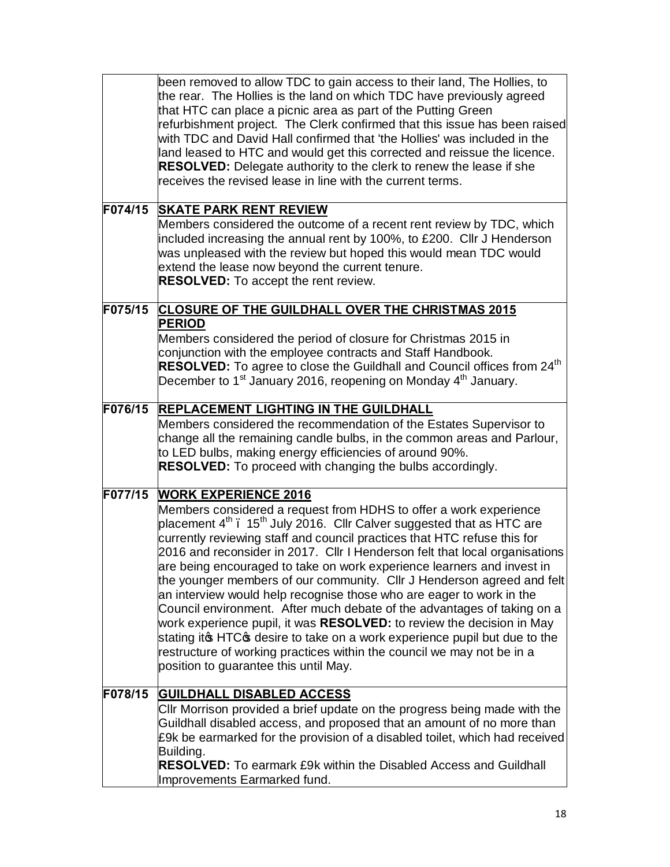|         | been removed to allow TDC to gain access to their land, The Hollies, to<br>the rear. The Hollies is the land on which TDC have previously agreed<br>that HTC can place a picnic area as part of the Putting Green<br>refurbishment project. The Clerk confirmed that this issue has been raised<br>with TDC and David Hall confirmed that 'the Hollies' was included in the<br>land leased to HTC and would get this corrected and reissue the licence.<br><b>RESOLVED:</b> Delegate authority to the clerk to renew the lease if she<br>receives the revised lease in line with the current terms.                                                                                                                                                                                                                                                                                                                                           |
|---------|-----------------------------------------------------------------------------------------------------------------------------------------------------------------------------------------------------------------------------------------------------------------------------------------------------------------------------------------------------------------------------------------------------------------------------------------------------------------------------------------------------------------------------------------------------------------------------------------------------------------------------------------------------------------------------------------------------------------------------------------------------------------------------------------------------------------------------------------------------------------------------------------------------------------------------------------------|
| F074/15 | <b>SKATE PARK RENT REVIEW</b><br>Members considered the outcome of a recent rent review by TDC, which<br>included increasing the annual rent by 100%, to £200. Cllr J Henderson<br>was unpleased with the review but hoped this would mean TDC would<br>extend the lease now beyond the current tenure.<br><b>RESOLVED:</b> To accept the rent review.                                                                                                                                                                                                                                                                                                                                                                                                                                                                                                                                                                                        |
| F075/15 | <b>CLOSURE OF THE GUILDHALL OVER THE CHRISTMAS 2015</b><br><b>PERIOD</b><br>Members considered the period of closure for Christmas 2015 in<br>conjunction with the employee contracts and Staff Handbook.<br>RESOLVED: To agree to close the Guildhall and Council offices from 24 <sup>th</sup><br>December to 1 <sup>st</sup> January 2016, reopening on Monday 4 <sup>th</sup> January.                                                                                                                                                                                                                                                                                                                                                                                                                                                                                                                                                    |
| F076/15 | <b>REPLACEMENT LIGHTING IN THE GUILDHALL</b><br>Members considered the recommendation of the Estates Supervisor to<br>change all the remaining candle bulbs, in the common areas and Parlour,<br>to LED bulbs, making energy efficiencies of around 90%.<br><b>RESOLVED:</b> To proceed with changing the bulbs accordingly.                                                                                                                                                                                                                                                                                                                                                                                                                                                                                                                                                                                                                  |
| F077/15 | <b>WORK EXPERIENCE 2016</b><br>Members considered a request from HDHS to offer a work experience<br>placement 4 <sup>th</sup> . 15 <sup>th</sup> July 2016. Cllr Calver suggested that as HTC are<br>currently reviewing staff and council practices that HTC refuse this for<br>2016 and reconsider in 2017. Cllr I Henderson felt that local organisations<br>are being encouraged to take on work experience learners and invest in<br>the younger members of our community. Cllr J Henderson agreed and felt<br>an interview would help recognise those who are eager to work in the<br>Council environment. After much debate of the advantages of taking on a<br>work experience pupil, it was RESOLVED: to review the decision in May<br>stating it HTC of desire to take on a work experience pupil but due to the<br>restructure of working practices within the council we may not be in a<br>position to guarantee this until May. |
| F078/15 | <b>GUILDHALL DISABLED ACCESS</b><br>CIIr Morrison provided a brief update on the progress being made with the<br>Guildhall disabled access, and proposed that an amount of no more than<br>£9k be earmarked for the provision of a disabled toilet, which had received<br>Building.<br><b>RESOLVED:</b> To earmark £9k within the Disabled Access and Guildhall<br>Improvements Earmarked fund.                                                                                                                                                                                                                                                                                                                                                                                                                                                                                                                                               |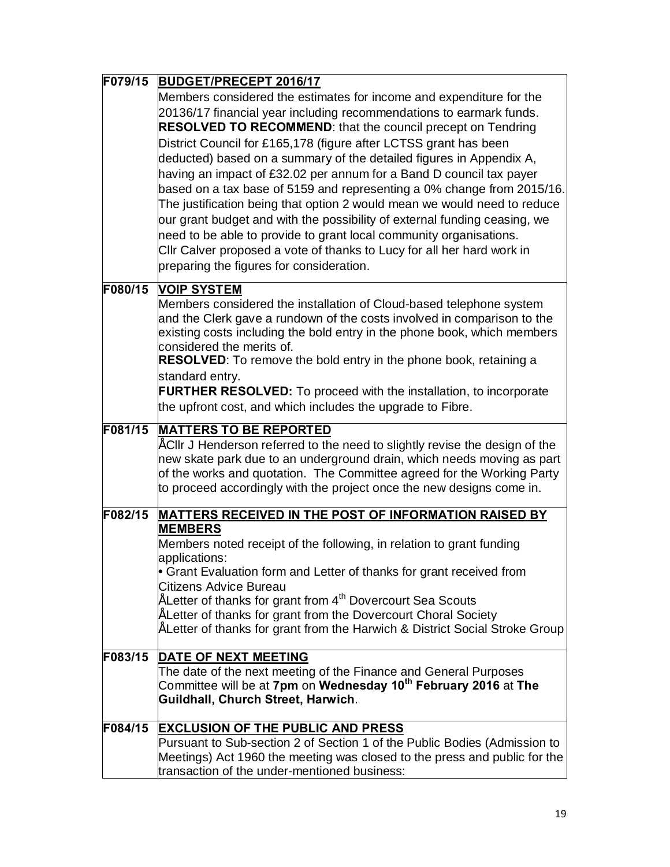| F079/15 | <b>BUDGET/PRECEPT 2016/17</b>                                                                                                                                                                                                                                                                                                                                                                                                                                                                                                                                                                                                                                                                                                                                                                                                                              |
|---------|------------------------------------------------------------------------------------------------------------------------------------------------------------------------------------------------------------------------------------------------------------------------------------------------------------------------------------------------------------------------------------------------------------------------------------------------------------------------------------------------------------------------------------------------------------------------------------------------------------------------------------------------------------------------------------------------------------------------------------------------------------------------------------------------------------------------------------------------------------|
|         | Members considered the estimates for income and expenditure for the<br>20136/17 financial year including recommendations to earmark funds.<br>RESOLVED TO RECOMMEND: that the council precept on Tendring<br>District Council for £165,178 (figure after LCTSS grant has been<br>deducted) based on a summary of the detailed figures in Appendix A,<br>having an impact of £32.02 per annum for a Band D council tax payer<br>based on a tax base of 5159 and representing a 0% change from 2015/16.<br>The justification being that option 2 would mean we would need to reduce<br>our grant budget and with the possibility of external funding ceasing, we<br>need to be able to provide to grant local community organisations.<br>Cllr Calver proposed a vote of thanks to Lucy for all her hard work in<br>preparing the figures for consideration. |
| F080/15 | <b>VOIP SYSTEM</b>                                                                                                                                                                                                                                                                                                                                                                                                                                                                                                                                                                                                                                                                                                                                                                                                                                         |
|         | Members considered the installation of Cloud-based telephone system<br>and the Clerk gave a rundown of the costs involved in comparison to the<br>existing costs including the bold entry in the phone book, which members<br>considered the merits of.<br><b>RESOLVED:</b> To remove the bold entry in the phone book, retaining a<br>standard entry.<br><b>FURTHER RESOLVED:</b> To proceed with the installation, to incorporate                                                                                                                                                                                                                                                                                                                                                                                                                        |
|         | the upfront cost, and which includes the upgrade to Fibre.                                                                                                                                                                                                                                                                                                                                                                                                                                                                                                                                                                                                                                                                                                                                                                                                 |
| F081/15 | <b>MATTERS TO BE REPORTED</b><br>" Cllr J Henderson referred to the need to slightly revise the design of the<br>new skate park due to an underground drain, which needs moving as part<br>of the works and quotation. The Committee agreed for the Working Party<br>to proceed accordingly with the project once the new designs come in.                                                                                                                                                                                                                                                                                                                                                                                                                                                                                                                 |
| F082/15 | <b>MATTERS RECEIVED IN THE POST OF INFORMATION RAISED BY</b>                                                                                                                                                                                                                                                                                                                                                                                                                                                                                                                                                                                                                                                                                                                                                                                               |
|         | <b>MEMBERS</b><br>Members noted receipt of the following, in relation to grant funding<br>applications:<br>• Grant Evaluation form and Letter of thanks for grant received from<br><b>Citizens Advice Bureau</b><br>Letter of thanks for grant from 4 <sup>th</sup> Dovercourt Sea Scouts<br>"Letter of thanks for grant from the Dovercourt Choral Society                                                                                                                                                                                                                                                                                                                                                                                                                                                                                                |
|         | Letter of thanks for grant from the Harwich & District Social Stroke Group                                                                                                                                                                                                                                                                                                                                                                                                                                                                                                                                                                                                                                                                                                                                                                                 |
| F083/15 | <b>DATE OF NEXT MEETING</b>                                                                                                                                                                                                                                                                                                                                                                                                                                                                                                                                                                                                                                                                                                                                                                                                                                |
|         | The date of the next meeting of the Finance and General Purposes<br>Committee will be at 7pm on Wednesday 10 <sup>th</sup> February 2016 at The<br>Guildhall, Church Street, Harwich.                                                                                                                                                                                                                                                                                                                                                                                                                                                                                                                                                                                                                                                                      |
| F084/15 | <b>EXCLUSION OF THE PUBLIC AND PRESS</b>                                                                                                                                                                                                                                                                                                                                                                                                                                                                                                                                                                                                                                                                                                                                                                                                                   |
|         | Pursuant to Sub-section 2 of Section 1 of the Public Bodies (Admission to<br>Meetings) Act 1960 the meeting was closed to the press and public for the<br>transaction of the under-mentioned business:                                                                                                                                                                                                                                                                                                                                                                                                                                                                                                                                                                                                                                                     |